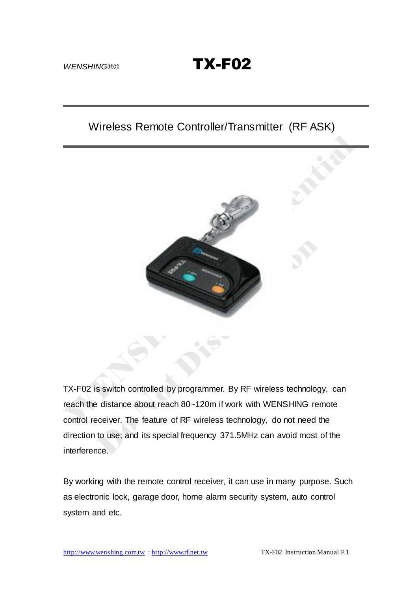WENSHING®© **TX-F02** 

# Wireless Remote Controller/Transmitter (RF ASK)



TX-F02 is switch controlled by programmer. By RF wireless technology, can reach the distance about reach 80~120m if work with WENSHING remote control receiver. The feature of RF wireless technology, do not need the direction to use; and its special frequency 371.5MHz can avoid most of the interference.

By working with the remote control receiver, it can use in many purpose. Such as electronic lock, garage door, home alarm security system, auto control system and etc.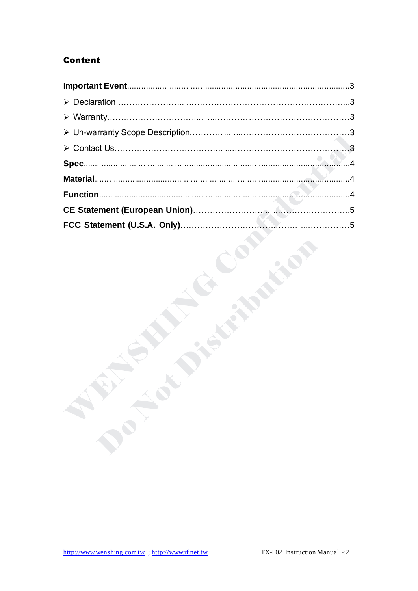## **Content**

**CONTRACTOR**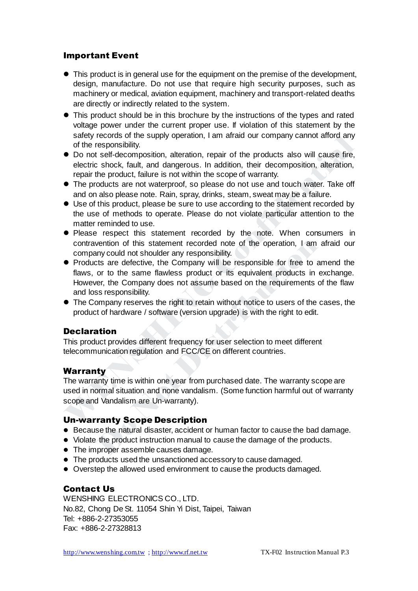## Important Event

- This product is in general use for the equipment on the premise of the development, design, manufacture. Do not use that require high security purposes, such as machinery or medical, aviation equipment, machinery and transport-related deaths are directly or indirectly related to the system.
- This product should be in this brochure by the instructions of the types and rated voltage power under the current proper use. If violation of this statement by the safety records of the supply operation, I am afraid our company cannot afford any of the responsibility.
- Do not self-decomposition, alteration, repair of the products also will cause fire, electric shock, fault, and dangerous. In addition, their decomposition, alteration, repair the product, failure is not within the scope of warranty.
- The products are not waterproof, so please do not use and touch water. Take off and on also please note. Rain, spray, drinks, steam, sweat may be a failure.
- Use of this product, please be sure to use according to the statement recorded by the use of methods to operate. Please do not violate particular attention to the matter reminded to use.
- Please respect this statement recorded by the note. When consumers in contravention of this statement recorded note of the operation, I am afraid our company could not shoulder any responsibility.
- Products are defective, the Company will be responsible for free to amend the flaws, or to the same flawless product or its equivalent products in exchange. However, the Company does not assume based on the requirements of the flaw and loss responsibility.
- The Company reserves the right to retain without notice to users of the cases, the product of hardware / software (version upgrade) is with the right to edit.

#### Declaration

This product provides different frequency for user selection to meet different telecommunication regulation and FCC/CE on different countries.

## **Warranty**

The warranty time is within one year from purchased date. The warranty scope are used in normal situation and none vandalism. (Some function harmful out of warranty scope and Vandalism are Un-warranty).

#### Un-warranty Scope Description

- Because the natural disaster, accident or human factor to cause the bad damage.
- Violate the product instruction manual to cause the damage of the products.
- The improper assemble causes damage.
- The products used the unsanctioned accessory to cause damaged.
- Overstep the allowed used environment to cause the products damaged.

## Contact Us

WENSHING ELECTRONICS CO., LTD. No.82, Chong De St. 11054 Shin Yi Dist, Taipei, Taiwan Tel: +886-2-27353055 Fax: +886-2-27328813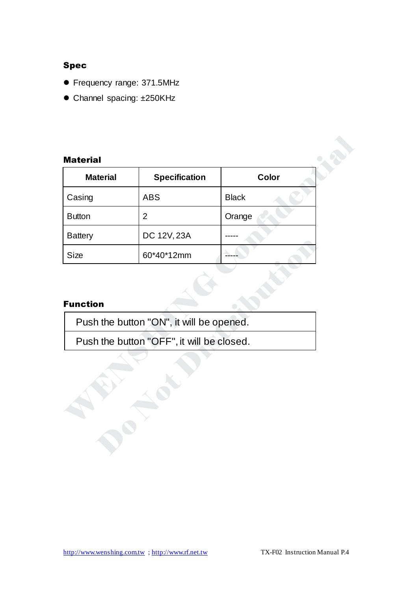## Spec

- Frequency range: 371.5MHz
- Channel spacing: ±250KHz

## Material

| <b>Material</b> |                      |              |  |
|-----------------|----------------------|--------------|--|
| <b>Material</b> | <b>Specification</b> | Color        |  |
| Casing          | <b>ABS</b>           | <b>Black</b> |  |
| <b>Button</b>   | $\overline{2}$       | Orange       |  |
| <b>Battery</b>  | DC 12V, 23A          |              |  |
| <b>Size</b>     | 60*40*12mm           |              |  |

## Function

A ROA

Push the button "ON", it will be opened.

Push the button "OFF", it will be closed.